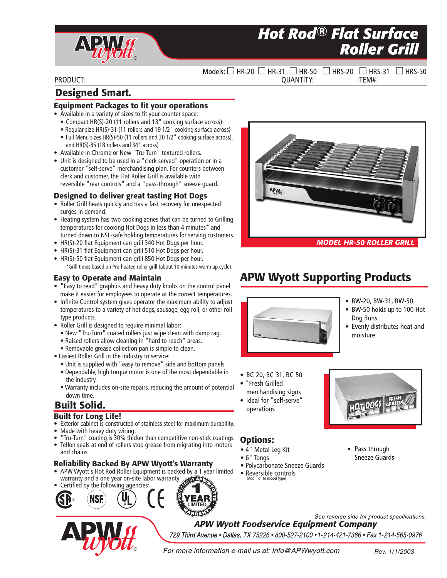

# **Hot Rod® Flat Surface Roller Grill**

PRODUCT:

Models:  $\Box$  HR-20  $\Box$  HR-31  $\Box$  HR-50  $\Box$  HRS-20  $\Box$  HRS-31  $\Box$  HRS-50 **OUANTITY:** ITEM#:

### **Designed Smart.**

#### **Equipment Packages to fit your operations**

- Available in a variety of sizes to fit your counter space:
	- Compact HR(S)-20 (11 rollers and 13" cooking surface across)
	- Regular size HR(S)-31 (11 rollers and 19 1/2" cooking surface across) • Full Menu sizes HR(S)-50 (11 rollers and 30 1/2" cooking surface across),
	- and HR(S)-85 (18 rollers and 34" across)
- Available in Chrome or New "Tru-Turn" textured rollers.
- Unit is designed to be used in a "clerk served" operation or in a customer "self-serve" merchandising plan. For counters between clerk and customer, the Flat Roller Grill is available with reversible "rear controls" and a "pass-through" sneeze guard.

### **Designed to deliver great tasting Hot Dogs**

- Roller Grill heats quickly and has a fast recovery for unexpected surges in demand.
- Heating system has two cooking zones that can be turned to Grilling temperatures for cooking Hot Dogs in less than 4 minutes\* and turned down to NSF-safe holding temperatures for serving customers.
- HR(S)-20 flat Equipment can grill 340 Hot Dogs per hour.
- HR(S)-31 flat Equipment can grill 510 Hot Dogs per hour.
- HR(S)-50 flat Equipment can grill 850 Hot Dogs per hour. \*Grill times based on Pre-heated roller grill (about 10 minutes warm up cycle).

#### **Easy to Operate and Maintain**

- "Easy to read" graphics and heavy duty knobs on the control panel make it easier for employees to operate at the correct temperatures.
- Infinite Control system gives operator the maximum ability to adjust temperatures to a variety of hot dogs, sausage, egg roll, or other roll type products.
- Roller Grill is designed to require minimal labor:
	- New "Tru-Turn" coated rollers just wipe clean with damp rag.
	- Raised rollers allow cleaning in "hard to reach" areas.
	- Removable grease collection pan is simple to clean.
- Easiest Roller Grill in the industry to service:
	- Unit is supplied with "easy to remove" side and bottom panels.
	- Dependable, high torque motor is one of the most dependable in the industry.
	- Warranty includes on-site repairs, reducing the amount of potential down time.

### **Built Solid.**

### **Built for Long Life!**

- Exterior cabinet is constructed of stainless steel for maximum durability.
- Made with heavy duty wiring.
- "Tru-Turn" coating is 30% thicker than competitive non-stick coatings.
- Teflon seals at end of rollers stop grease from migrating into motors and chains.

### **Reliability Backed By APW Wyott's Warranty**

• APW Wyott's Hot Rod Roller Equipment is backed by a 1 year limited warranty and a one year on-site labor warranty **BY APM** 







APWH MODEL HR-50 ROLLER GRILL

# **APW Wyott Supporting Products**



- · BW-20, BW-31, BW-50
- BW-50 holds up to 100 Hot Dog Buns
- Evenly distributes heat and moisture
- BC-20, BC-31, BC-50
- "Fresh Grilled" merchandising signs
- operations

### **Options:**

- 4" Metal Leg Kit
- 6" Tongs
- Polycarbonate Sneeze Guards
- Reversible controls (Add "R" to model type)



• Pass through **Sneeze Guards** 

See reverse side for product specifications.

**APW Wyott Foodservice Equipment Company** 

729 Third Avenue . Dallas, TX 75226 . 800-527-2100 . 1-214-421-7366 . Fax 1-214-565-0976

For more information e-mail us at: Info@APWwyott.com



- - · Ideal for "self-serve"